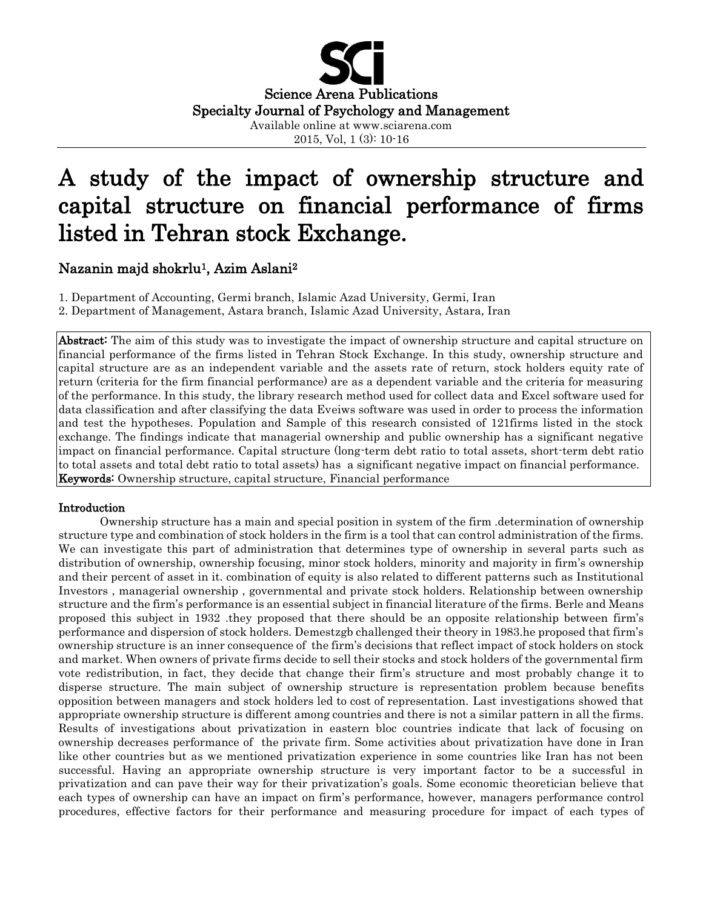

# A study of the impact of ownership structure and capital structure on financial performance of firms listed in Tehran stock Exchange.

# Nazanin majd shokrlu<sup>1</sup>, Azim Aslani<sup>2</sup>

1. Department of Accounting, Germi branch, Islamic Azad University, Germi, Iran 2. Department of Management, Astara branch, Islamic Azad University, Astara, Iran

Abstract: The aim of this study was to investigate the impact of ownership structure and capital structure on financial performance of the firms listed in Tehran Stock Exchange. In this study, ownership structure and capital structure are as an independent variable and the assets rate of return, stock holders equity rate of return (criteria for the firm financial performance) are as a dependent variable and the criteria for measuring of the performance. In this study, the library research method used for collect data and Excel software used for data classification and after classifying the data Eveiws software was used in order to process the information and test the hypotheses. Population and Sample of this research consisted of 121firms listed in the stock exchange. The findings indicate that managerial ownership and public ownership has a significant negative impact on financial performance. Capital structure (long-term debt ratio to total assets, short-term debt ratio to total assets and total debt ratio to total assets) has a significant negative impact on financial performance. Keywords: Ownership structure, capital structure, Financial performance

# Introduction

Ownership structure has a main and special position in system of the firm .determination of ownership structure type and combination of stock holders in the firm is a tool that can control administration of the firms. We can investigate this part of administration that determines type of ownership in several parts such as distribution of ownership, ownership focusing, minor stock holders, minority and majority in firm's ownership and their percent of asset in it. combination of equity is also related to different patterns such as Institutional Investors , managerial ownership , governmental and private stock holders. Relationship between ownership structure and the firm's performance is an essential subject in financial literature of the firms. Berle and Means proposed this subject in 1932 .they proposed that there should be an opposite relationship between firm's performance and dispersion of stock holders. Demestzgb challenged their theory in 1983.he proposed that firm's ownership structure is an inner consequence of the firm's decisions that reflect impact of stock holders on stock and market. When owners of private firms decide to sell their stocks and stock holders of the governmental firm vote redistribution, in fact, they decide that change their firm's structure and most probably change it to disperse structure. The main subject of ownership structure is representation problem because benefits opposition between managers and stock holders led to cost of representation. Last investigations showed that appropriate ownership structure is different among countries and there is not a similar pattern in all the firms. Results of investigations about privatization in eastern bloc countries indicate that lack of focusing on ownership decreases performance of the private firm. Some activities about privatization have done in Iran like other countries but as we mentioned privatization experience in some countries like Iran has not been successful. Having an appropriate ownership structure is very important factor to be a successful in privatization and can pave their way for their privatization's goals. Some economic theoretician believe that each types of ownership can have an impact on firm's performance, however, managers performance control procedures, effective factors for their performance and measuring procedure for impact of each types of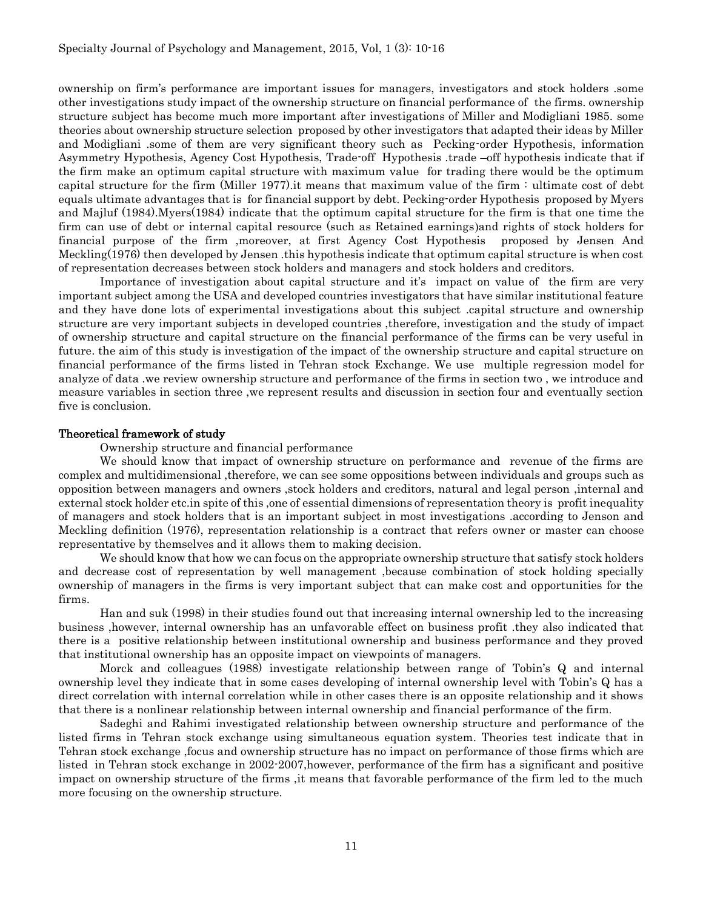ownership on firm's performance are important issues for managers, investigators and stock holders .some other investigations study impact of the ownership structure on financial performance of the firms. ownership structure subject has become much more important after investigations of Miller and Modigliani 1985. some theories about ownership structure selection proposed by other investigators that adapted their ideas by Miller and Modigliani .some of them are very significant theory such as Pecking-order Hypothesis, information Asymmetry Hypothesis, Agency Cost Hypothesis, Trade-off Hypothesis .trade –off hypothesis indicate that if the firm make an optimum capital structure with maximum value for trading there would be the optimum capital structure for the firm (Miller 1977).it means that maximum value of the firm : ultimate cost of debt equals ultimate advantages that is for financial support by debt. Pecking-order Hypothesis proposed by Myers and Majluf (1984).Myers(1984) indicate that the optimum capital structure for the firm is that one time the firm can use of debt or internal capital resource (such as Retained earnings) and rights of stock holders for financial purpose of the firm ,moreover, at first Agency Cost Hypothesis proposed by Jensen And Meckling(1976) then developed by Jensen .this hypothesis indicate that optimum capital structure is when cost of representation decreases between stock holders and managers and stock holders and creditors.

Importance of investigation about capital structure and it's impact on value of the firm are very important subject among the USA and developed countries investigators that have similar institutional feature and they have done lots of experimental investigations about this subject .capital structure and ownership structure are very important subjects in developed countries ,therefore, investigation and the study of impact of ownership structure and capital structure on the financial performance of the firms can be very useful in future. the aim of this study is investigation of the impact of the ownership structure and capital structure on financial performance of the firms listed in Tehran stock Exchange. We use multiple regression model for analyze of data .we review ownership structure and performance of the firms in section two , we introduce and measure variables in section three ,we represent results and discussion in section four and eventually section five is conclusion.

### Theoretical framework of study

Ownership structure and financial performance

We should know that impact of ownership structure on performance and revenue of the firms are complex and multidimensional ,therefore, we can see some oppositions between individuals and groups such as opposition between managers and owners ,stock holders and creditors, natural and legal person ,internal and external stock holder etc.in spite of this ,one of essential dimensions of representation theory is profit inequality of managers and stock holders that is an important subject in most investigations .according to Jenson and Meckling definition (1976), representation relationship is a contract that refers owner or master can choose representative by themselves and it allows them to making decision.

We should know that how we can focus on the appropriate ownership structure that satisfy stock holders and decrease cost of representation by well management ,because combination of stock holding specially ownership of managers in the firms is very important subject that can make cost and opportunities for the firms.

Han and suk (1998) in their studies found out that increasing internal ownership led to the increasing business ,however, internal ownership has an unfavorable effect on business profit .they also indicated that there is a positive relationship between institutional ownership and business performance and they proved that institutional ownership has an opposite impact on viewpoints of managers.

Morck and colleagues (1988) investigate relationship between range of Tobin's Q and internal ownership level they indicate that in some cases developing of internal ownership level with Tobin's Q has a direct correlation with internal correlation while in other cases there is an opposite relationship and it shows that there is a nonlinear relationship between internal ownership and financial performance of the firm.

Sadeghi and Rahimi investigated relationship between ownership structure and performance of the listed firms in Tehran stock exchange using simultaneous equation system. Theories test indicate that in Tehran stock exchange ,focus and ownership structure has no impact on performance of those firms which are listed in Tehran stock exchange in 2002-2007,however, performance of the firm has a significant and positive impact on ownership structure of the firms ,it means that favorable performance of the firm led to the much more focusing on the ownership structure.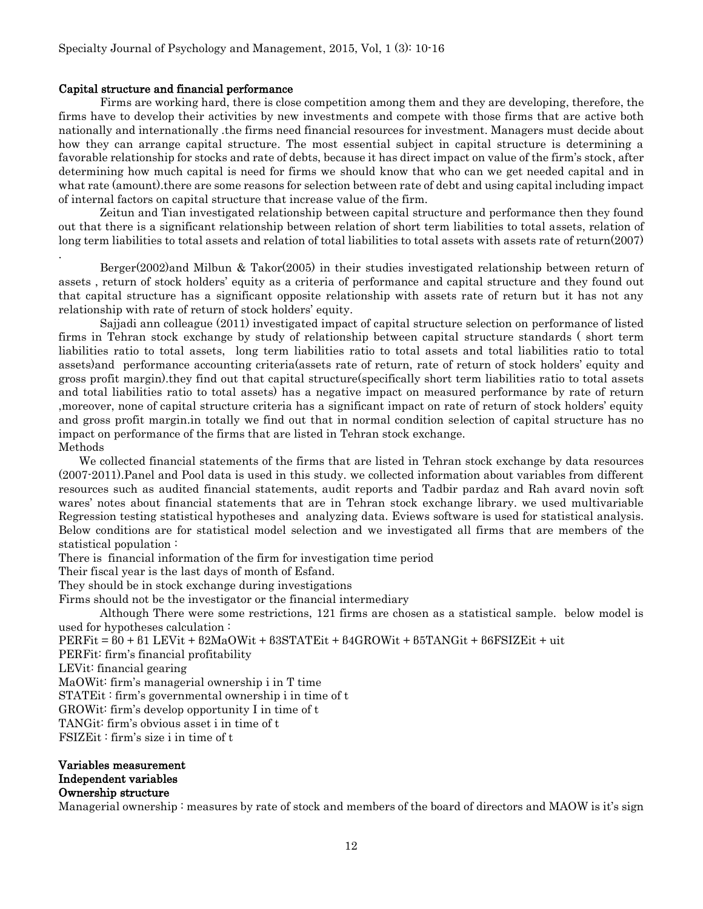### Capital structure and financial performance

Firms are working hard, there is close competition among them and they are developing, therefore, the firms have to develop their activities by new investments and compete with those firms that are active both nationally and internationally .the firms need financial resources for investment. Managers must decide about how they can arrange capital structure. The most essential subject in capital structure is determining a favorable relationship for stocks and rate of debts, because it has direct impact on value of the firm's stock, after determining how much capital is need for firms we should know that who can we get needed capital and in what rate (amount).there are some reasons for selection between rate of debt and using capital including impact of internal factors on capital structure that increase value of the firm.

Zeitun and Tian investigated relationship between capital structure and performance then they found out that there is a significant relationship between relation of short term liabilities to total assets, relation of long term liabilities to total assets and relation of total liabilities to total assets with assets rate of return(2007)

Berger(2002)and Milbun & Takor(2005) in their studies investigated relationship between return of assets , return of stock holders' equity as a criteria of performance and capital structure and they found out that capital structure has a significant opposite relationship with assets rate of return but it has not any relationship with rate of return of stock holders' equity.

Sajjadi ann colleague (2011) investigated impact of capital structure selection on performance of listed firms in Tehran stock exchange by study of relationship between capital structure standards ( short term liabilities ratio to total assets, long term liabilities ratio to total assets and total liabilities ratio to total assets)and performance accounting criteria(assets rate of return, rate of return of stock holders' equity and gross profit margin).they find out that capital structure(specifically short term liabilities ratio to total assets and total liabilities ratio to total assets) has a negative impact on measured performance by rate of return ,moreover, none of capital structure criteria has a significant impact on rate of return of stock holders' equity and gross profit margin.in totally we find out that in normal condition selection of capital structure has no impact on performance of the firms that are listed in Tehran stock exchange. Methods

We collected financial statements of the firms that are listed in Tehran stock exchange by data resources (2007-2011).Panel and Pool data is used in this study. we collected information about variables from different resources such as audited financial statements, audit reports and Tadbir pardaz and Rah avard novin soft wares' notes about financial statements that are in Tehran stock exchange library. we used multivariable Regression testing statistical hypotheses and analyzing data. Eviews software is used for statistical analysis. Below conditions are for statistical model selection and we investigated all firms that are members of the statistical population :

There is financial information of the firm for investigation time period

Their fiscal year is the last days of month of Esfand.

They should be in stock exchange during investigations

Firms should not be the investigator or the financial intermediary

Although There were some restrictions, 121 firms are chosen as a statistical sample. below model is used for hypotheses calculation :

PERFit = β0 + β1 LEVit + β2MaOWit + β3STATEit + β4GROWit + β5TANGit + β6FSIZEit + uit

PERFit: firm's financial profitability

LEVit: financial gearing

.

MaOWit: firm's managerial ownership i in T time

STATEit : firm's governmental ownership i in time of t

GROWit: firm's develop opportunity I in time of t

TANGit: firm's obvious asset i in time of t

FSIZEit : firm's size i in time of t

# Variables measurement Independent variables Ownership structure

Managerial ownership : measures by rate of stock and members of the board of directors and MAOW is it's sign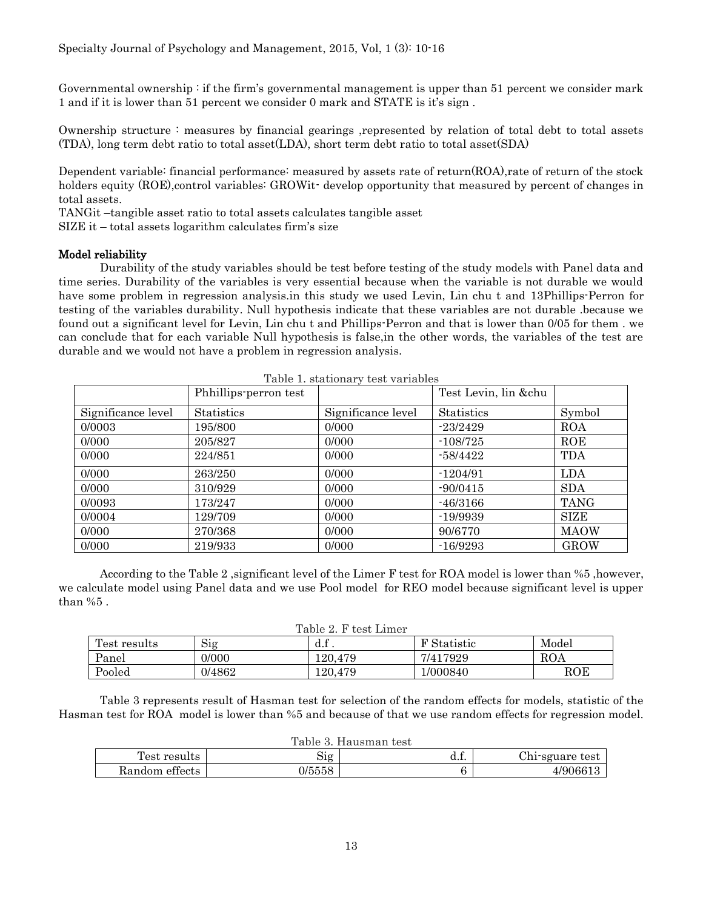Governmental ownership : if the firm's governmental management is upper than 51 percent we consider mark 1 and if it is lower than 51 percent we consider 0 mark and STATE is it's sign .

Ownership structure : measures by financial gearings ,represented by relation of total debt to total assets (TDA), long term debt ratio to total asset(LDA), short term debt ratio to total asset(SDA)

Dependent variable: financial performance: measured by assets rate of return(ROA),rate of return of the stock holders equity (ROE),control variables: GROWit- develop opportunity that measured by percent of changes in total assets.

TANGit –tangible asset ratio to total assets calculates tangible asset

SIZE it – total assets logarithm calculates firm's size

# Model reliability

Durability of the study variables should be test before testing of the study models with Panel data and time series. Durability of the variables is very essential because when the variable is not durable we would have some problem in regression analysis.in this study we used Levin, Lin chu t and 13Phillips-Perron for testing of the variables durability. Null hypothesis indicate that these variables are not durable .because we found out a significant level for Levin, Lin chu t and Phillips-Perron and that is lower than 0/05 for them . we can conclude that for each variable Null hypothesis is false,in the other words, the variables of the test are durable and we would not have a problem in regression analysis.

|                    | Phhillips-perron test |                    | Test Levin, lin &chu |             |
|--------------------|-----------------------|--------------------|----------------------|-------------|
| Significance level | <b>Statistics</b>     | Significance level | Statistics           | Symbol      |
| 0/0003             | 195/800               | 0/000              | $-23/2429$           | <b>ROA</b>  |
| 0/000              | 205/827               | 0/000              | $-108/725$           | ROE         |
| 0/000              | 224/851               | 0/000              | $-58/4422$           | TDA         |
| 0/000              | 263/250               | 0/000              | $-1204/91$           | <b>LDA</b>  |
| 0/000              | 310/929               | 0/000              | $-90/0415$           | <b>SDA</b>  |
| 0/0093             | 173/247               | 0/000              | $-46/3166$           | <b>TANG</b> |
| 0/0004             | 129/709               | 0/000              | $-19/9939$           | <b>SIZE</b> |
| 0/000              | 270/368               | 0/000              | 90/6770              | <b>MAOW</b> |
| 0/000              | 219/933               | 0/000              | $-16/9293$           | <b>GROW</b> |

Table 1. stationary test variables

According to the Table 2 ,significant level of the Limer F test for ROA model is lower than %5 ,however, we calculate model using Panel data and we use Pool model for REO model because significant level is upper than %5 .

| Table 2. F test Limer |  |  |  |
|-----------------------|--|--|--|
|-----------------------|--|--|--|

| Test results | $\sim \cdot$<br>51g | u.i.    | <b>F</b> Statistic | Model        |  |  |
|--------------|---------------------|---------|--------------------|--------------|--|--|
| Panel        | 0/000               | 120.479 | 7/417929           | ROA          |  |  |
| Pooled       | 0/4862              | 120.479 | 1/000840           | $_{\rm ROE}$ |  |  |

Table 3 represents result of Hasman test for selection of the random effects for models, statistic of the Hasman test for ROA model is lower than %5 and because of that we use random effects for regression model.

|  | Table 3. Hausman test |  |
|--|-----------------------|--|
|--|-----------------------|--|

| Test<br>results            | $\mathrm{Sig}$ | $\epsilon$<br> | Chi-sguare test |  |  |  |
|----------------------------|----------------|----------------|-----------------|--|--|--|
| $\alpha$<br>Kandom ettects | 0/5558         |                | '90661          |  |  |  |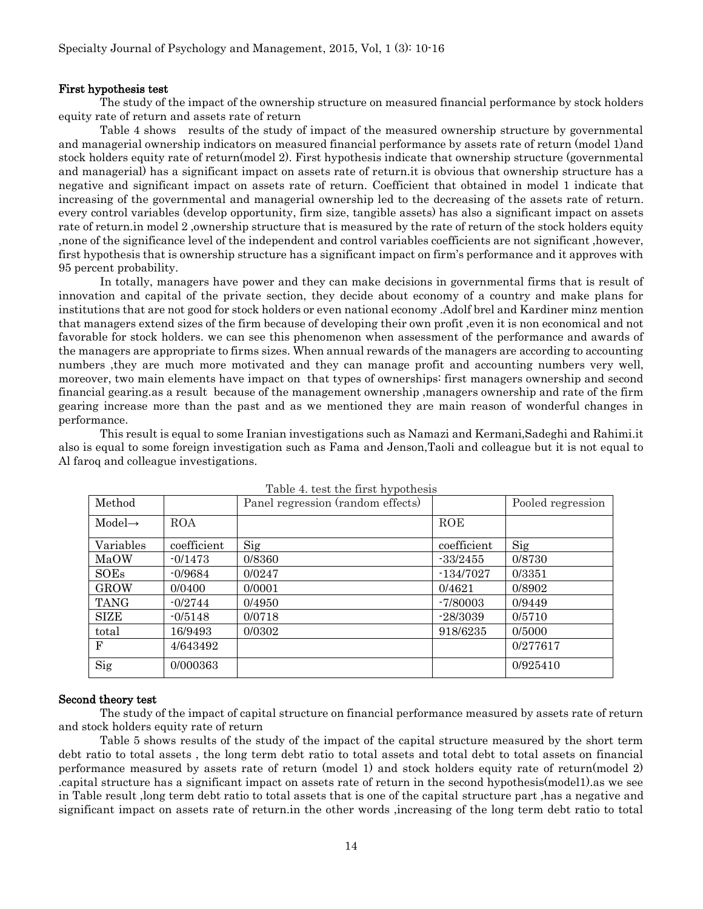### First hypothesis test

The study of the impact of the ownership structure on measured financial performance by stock holders equity rate of return and assets rate of return

Table 4 shows results of the study of impact of the measured ownership structure by governmental and managerial ownership indicators on measured financial performance by assets rate of return (model 1)and stock holders equity rate of return(model 2). First hypothesis indicate that ownership structure (governmental and managerial) has a significant impact on assets rate of return.it is obvious that ownership structure has a negative and significant impact on assets rate of return. Coefficient that obtained in model 1 indicate that increasing of the governmental and managerial ownership led to the decreasing of the assets rate of return. every control variables (develop opportunity, firm size, tangible assets) has also a significant impact on assets rate of return.in model 2 ,ownership structure that is measured by the rate of return of the stock holders equity ,none of the significance level of the independent and control variables coefficients are not significant ,however, first hypothesis that is ownership structure has a significant impact on firm's performance and it approves with 95 percent probability.

In totally, managers have power and they can make decisions in governmental firms that is result of innovation and capital of the private section, they decide about economy of a country and make plans for institutions that are not good for stock holders or even national economy .Adolf brel and Kardiner minz mention that managers extend sizes of the firm because of developing their own profit ,even it is non economical and not favorable for stock holders. we can see this phenomenon when assessment of the performance and awards of the managers are appropriate to firms sizes. When annual rewards of the managers are according to accounting numbers ,they are much more motivated and they can manage profit and accounting numbers very well, moreover, two main elements have impact on that types of ownerships: first managers ownership and second financial gearing.as a result because of the management ownership ,managers ownership and rate of the firm gearing increase more than the past and as we mentioned they are main reason of wonderful changes in performance.

This result is equal to some Iranian investigations such as Namazi and Kermani,Sadeghi and Rahimi.it also is equal to some foreign investigation such as Fama and Jenson,Taoli and colleague but it is not equal to Al faroq and colleague investigations.

| Method             |             | Panel regression (random effects) |             | Pooled regression |
|--------------------|-------------|-----------------------------------|-------------|-------------------|
| $Model\rightarrow$ | <b>ROA</b>  |                                   | ROE         |                   |
| Variables          | coefficient | Sig                               | coefficient | Sig               |
| MaOW               | $-0/1473$   | 0/8360                            | $-33/2455$  | 0/8730            |
| <b>SOEs</b>        | $-0/9684$   | 0/0247                            | $-134/7027$ | 0/3351            |
| <b>GROW</b>        | 0/0400      | 0/0001                            | 0/4621      | 0/8902            |
| <b>TANG</b>        | $-0/2744$   | 0/4950                            | $-7/80003$  | 0/9449            |
| SIZE               | $-0/5148$   | 0/0718                            | $-28/3039$  | 0/5710            |
| total              | 16/9493     | 0/0302                            | 918/6235    | 0/5000            |
| $_{\rm F}$         | 4/643492    |                                   |             | 0/277617          |
| Sig                | 0/000363    |                                   |             | 0/925410          |

Table 4. test the first hypothesis

#### Second theory test

The study of the impact of capital structure on financial performance measured by assets rate of return and stock holders equity rate of return

Table 5 shows results of the study of the impact of the capital structure measured by the short term debt ratio to total assets , the long term debt ratio to total assets and total debt to total assets on financial performance measured by assets rate of return (model 1) and stock holders equity rate of return(model 2) .capital structure has a significant impact on assets rate of return in the second hypothesis(model1).as we see in Table result ,long term debt ratio to total assets that is one of the capital structure part ,has a negative and significant impact on assets rate of return.in the other words ,increasing of the long term debt ratio to total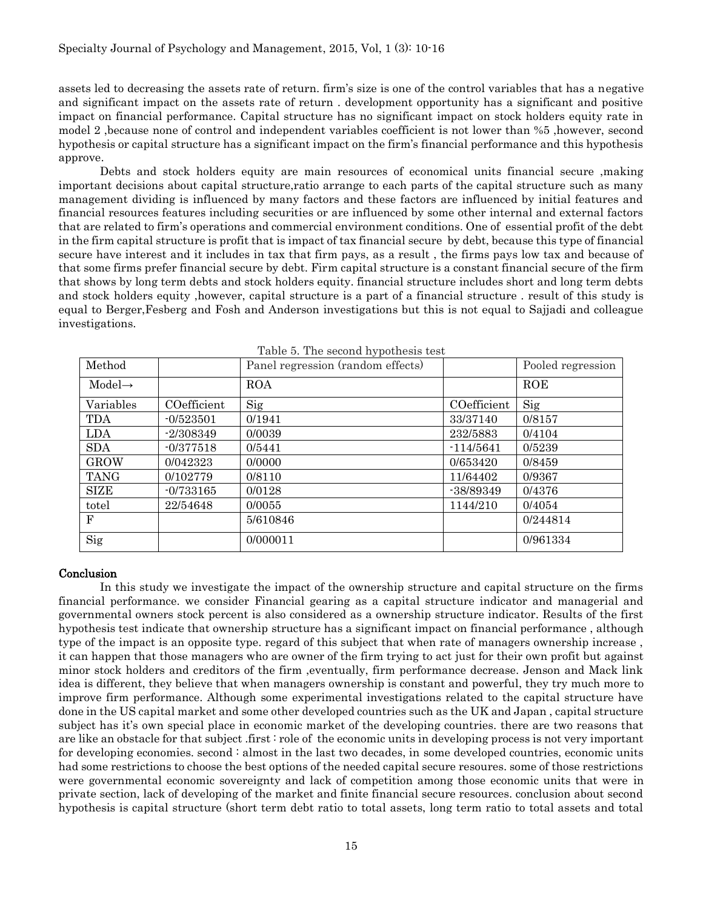assets led to decreasing the assets rate of return. firm's size is one of the control variables that has a negative and significant impact on the assets rate of return . development opportunity has a significant and positive impact on financial performance. Capital structure has no significant impact on stock holders equity rate in model 2 ,because none of control and independent variables coefficient is not lower than %5 ,however, second hypothesis or capital structure has a significant impact on the firm's financial performance and this hypothesis approve.

Debts and stock holders equity are main resources of economical units financial secure ,making important decisions about capital structure,ratio arrange to each parts of the capital structure such as many management dividing is influenced by many factors and these factors are influenced by initial features and financial resources features including securities or are influenced by some other internal and external factors that are related to firm's operations and commercial environment conditions. One of essential profit of the debt in the firm capital structure is profit that is impact of tax financial secure by debt, because this type of financial secure have interest and it includes in tax that firm pays, as a result , the firms pays low tax and because of that some firms prefer financial secure by debt. Firm capital structure is a constant financial secure of the firm that shows by long term debts and stock holders equity. financial structure includes short and long term debts and stock holders equity ,however, capital structure is a part of a financial structure . result of this study is equal to Berger,Fesberg and Fosh and Anderson investigations but this is not equal to Sajjadi and colleague investigations.

| Method             |             | Panel regression (random effects) |             | Pooled regression |
|--------------------|-------------|-----------------------------------|-------------|-------------------|
| $Model\rightarrow$ |             | <b>ROA</b>                        |             | ROE               |
| Variables          | COefficient | Sig                               | COefficient | Sig               |
| TDA                | $-0/523501$ | 0/1941                            | 33/37140    | 0/8157            |
| <b>LDA</b>         | $-2/308349$ | 0/0039                            | 232/5883    | 0/4104            |
| <b>SDA</b>         | $-0/377518$ | 0/5441                            | $-114/5641$ | 0/5239            |
| <b>GROW</b>        | 0/042323    | 0/0000                            | 0/653420    | 0/8459            |
| <b>TANG</b>        | 0/102779    | 0/8110                            | 11/64402    | 0/9367            |
| <b>SIZE</b>        | $-0/733165$ | 0/0128                            | -38/89349   | 0/4376            |
| totel              | 22/54648    | 0/0055                            | 1144/210    | 0/4054            |
| F                  |             | 5/610846                          |             | 0/244814          |
| Sig                |             | 0/000011                          |             | 0/961334          |

|  |  |  |  | Table 5. The second hypothesis test |  |
|--|--|--|--|-------------------------------------|--|
|--|--|--|--|-------------------------------------|--|

### Conclusion

In this study we investigate the impact of the ownership structure and capital structure on the firms financial performance. we consider Financial gearing as a capital structure indicator and managerial and governmental owners stock percent is also considered as a ownership structure indicator. Results of the first hypothesis test indicate that ownership structure has a significant impact on financial performance , although type of the impact is an opposite type. regard of this subject that when rate of managers ownership increase , it can happen that those managers who are owner of the firm trying to act just for their own profit but against minor stock holders and creditors of the firm ,eventually, firm performance decrease. Jenson and Mack link idea is different, they believe that when managers ownership is constant and powerful, they try much more to improve firm performance. Although some experimental investigations related to the capital structure have done in the US capital market and some other developed countries such as the UK and Japan , capital structure subject has it's own special place in economic market of the developing countries. there are two reasons that are like an obstacle for that subject .first : role of the economic units in developing process is not very important for developing economies. second : almost in the last two decades, in some developed countries, economic units had some restrictions to choose the best options of the needed capital secure resoures. some of those restrictions were governmental economic sovereignty and lack of competition among those economic units that were in private section, lack of developing of the market and finite financial secure resources. conclusion about second hypothesis is capital structure (short term debt ratio to total assets, long term ratio to total assets and total